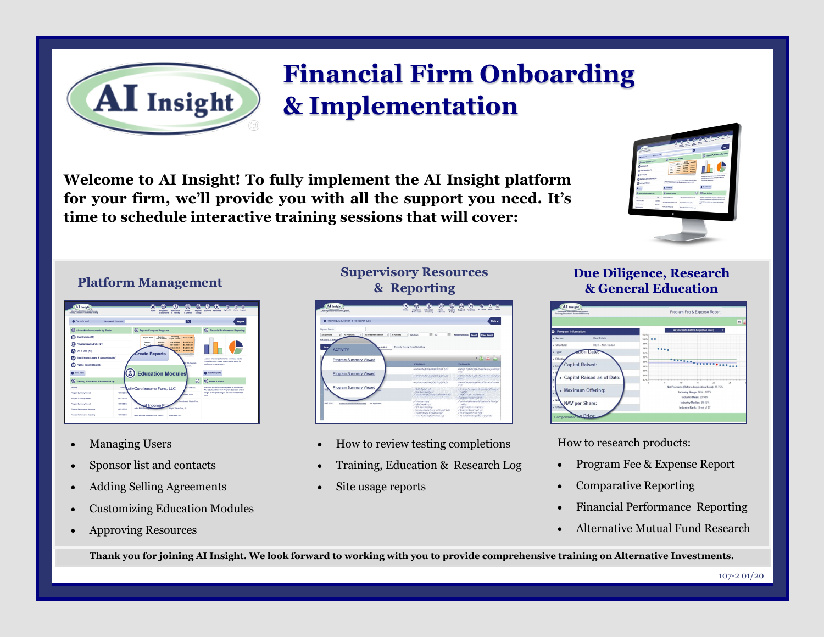# **Financial Firm Onboarding & Implementation**

**Welcome to AI Insight! To fully implement the AI Insight platform for your firm, we'll provide you with all the support you need. It's time to schedule interactive training sessions that will cover:** 



#### **Platform Management**

| AI Insight<br>Abenutive Sounteent Insight through<br>Training, Education & Increased Efficiency. |                                 | n<br><b>Home</b>                                                                              | ā<br>Education<br>Programs<br>A Training<br>A Secondary | G<br>News<br><b>A</b> Events                          | ⋒<br>Reports<br>& Logs | Support Favorites      | My Profile<br><b>Allege</b><br>Leased                                                                    |
|--------------------------------------------------------------------------------------------------|---------------------------------|-----------------------------------------------------------------------------------------------|---------------------------------------------------------|-------------------------------------------------------|------------------------|------------------------|----------------------------------------------------------------------------------------------------------|
| <b>O</b> Dashboard                                                                               | <b>Secretary &amp; Programs</b> |                                                                                               |                                                         | ∣∾                                                    |                        |                        | Help v                                                                                                   |
| 63<br>Alternative Investments by Sector                                                          |                                 | (R) Reports/Compare Programs                                                                  |                                                         |                                                       |                        | ര                      | <b>Financial Performance Reporting</b>                                                                   |
| Real Estate (89)                                                                                 |                                 | Extention<br><b>Program Name</b><br><b>Bata of Ciffortne</b><br><b>BITIGROSS</b><br>Program 1 | Fananna<br><b>Capital Available</b><br>\$1,436,00 MHz   | <b>Maximum Offer</b><br>\$1,436,06,532                |                        |                        |                                                                                                          |
| Private Equity/Debt (31)<br>Oil & Gas (12)                                                       |                                 | <b>LA/S/NPER</b><br>Program, I                                                                | SZ 476,58,854<br>\$1,236,49,853<br>79.524               | 52 435 55 764<br>\$1,226,49,133<br><b>BLANL79, NH</b> |                        |                        |                                                                                                          |
| Real Estate Loans & Securities (14)                                                              |                                 | <b>Create Reports</b>                                                                         |                                                         | <b>CONTRACTOR</b><br>_                                |                        |                        | Access financial performance summany, create<br>financial charts, create customizable alerts for         |
| Public Equity/Debt (3)<br>œ                                                                      |                                 |                                                                                               |                                                         | in the Program<br><b>Lanced</b>                       |                        | cedarnance carameters. |                                                                                                          |
| <b>D</b> View More                                                                               |                                 | <b>Education Modules</b>                                                                      |                                                         |                                                       |                        | C Create Reports       |                                                                                                          |
| ര<br>Training, Education & Research Log                                                          |                                 |                                                                                               |                                                         |                                                       | $\circ$                | (II) News & Alerts     |                                                                                                          |
| Activity                                                                                         | Osta                            | ctivCare Income Fund, LLC                                                                     |                                                         | The LLC                                               |                        |                        | There are no alerts to be displayed at this moment.<br>All product updates from Program Sponsors and All |
| <b>Program Summary Viewed</b>                                                                    | 09/21/2015                      |                                                                                               |                                                         | lents Fund                                            |                        | here.                  | Insight for the products you research will be listed                                                     |
| Program Summary Viewed                                                                           | 09/21/2015                      |                                                                                               |                                                         | Commitments Master Euro                               |                        |                        |                                                                                                          |
| Program Summary Viewed                                                                           | <b><i>DROVADORE</i></b>         | aal Income Pro                                                                                |                                                         |                                                       |                        |                        |                                                                                                          |
| Financial Performance Reporting                                                                  | <b><i>GROUDESE</i></b>          | Autres Multi Alex                                                                             | <b>Ellanda Vision Fund, LP</b>                          |                                                       |                        |                        |                                                                                                          |
| Financial Performance Reporting                                                                  | <b>GROUGES</b>                  | Arina Partners Diversified Fund (Caum                                                         | America060, LLC                                         |                                                       |                        |                        |                                                                                                          |

AI Insight

- Managing Users
- Sponsor list and contacts
- Adding Selling Agreements
- Customizing Education Modules
- Approving Resources

#### **Supervisory Resources & Reporting**



- How to review testing completions
- Training, Education & Research Log
- Site usage reports

#### **Due Diligence, Research & General Education**

| Abernative Investment Insight through<br>Training, Education 9 Increased Efficiency |                            | Program Fee & Expense Report                        | PS of |  |  |
|-------------------------------------------------------------------------------------|----------------------------|-----------------------------------------------------|-------|--|--|
| Program Information<br>۰                                                            |                            | Net Proceeds (Before Acquisition Fees)<br>102%      |       |  |  |
| » Sector:                                                                           | Real Estate                | 100%                                                |       |  |  |
| · Structure:                                                                        | REIT - Non-Traded          | 98%<br>96%                                          |       |  |  |
| $>$ Type:                                                                           | Date:                      | 94%                                                 |       |  |  |
| > Effectiv<br><b>Capital Raised:</b><br>Fec                                         |                            | 92%<br><br>90%                                      |       |  |  |
|                                                                                     |                            | <b>MN</b>                                           |       |  |  |
|                                                                                     | Capital Raised as of Date: | MN <sub>3</sub><br>A4%<br>82%<br>$\overline{25}$    |       |  |  |
| » Maximum Offering:                                                                 |                            | Net Proceeds (Before Acquisition Fees): 88.75%      |       |  |  |
|                                                                                     |                            | Industry Range: 88% - 100%<br>Industry Mean: 90.98% |       |  |  |
| > N <sub>2</sub>                                                                    | NAV per Share:             | Industry Median: 89.45%                             |       |  |  |
|                                                                                     |                            | Industry Rank: 13 out of 27                         |       |  |  |

How to research products:

- Program Fee & Expense Report
- Comparative Reporting
- Financial Performance Reporting
- Alternative Mutual Fund Research

**Thank you for joining AI Insight. We look forward to working with you to provide comprehensive training on Alternative Investments.**